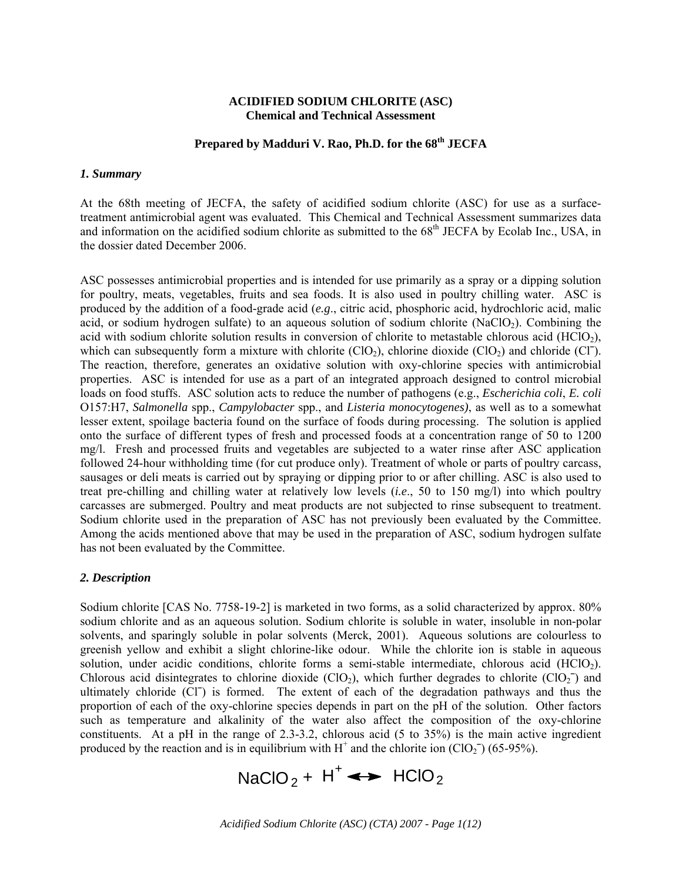#### **ACIDIFIED SODIUM CHLORITE (ASC) Chemical and Technical Assessment**

## **Prepared by Madduri V. Rao, Ph.D. for the 68th JECFA**

#### *1. Summary*

At the 68th meeting of JECFA, the safety of acidified sodium chlorite (ASC) for use as a surfacetreatment antimicrobial agent was evaluated. This Chemical and Technical Assessment summarizes data and information on the acidified sodium chlorite as submitted to the 68<sup>th</sup> JECFA by Ecolab Inc., USA, in the dossier dated December 2006.

ASC possesses antimicrobial properties and is intended for use primarily as a spray or a dipping solution for poultry, meats, vegetables, fruits and sea foods. It is also used in poultry chilling water. ASC is produced by the addition of a food-grade acid (*e.g*., citric acid, phosphoric acid, hydrochloric acid, malic acid, or sodium hydrogen sulfate) to an aqueous solution of sodium chlorite  $(NaClO<sub>2</sub>)$ . Combining the acid with sodium chlorite solution results in conversion of chlorite to metastable chlorous acid (HClO<sub>2</sub>), which can subsequently form a mixture with chlorite  $(CIO<sub>2</sub>)$ , chlorine dioxide  $(CIO<sub>2</sub>)$  and chloride  $(CI<sub>2</sub>)$ . The reaction, therefore, generates an oxidative solution with oxy-chlorine species with antimicrobial properties. ASC is intended for use as a part of an integrated approach designed to control microbial loads on food stuffs. ASC solution acts to reduce the number of pathogens (e.g., *Escherichia coli*, *E. coli* O157:H7, *Salmonella* spp., *Campylobacter* spp., and *Listeria monocytogenes)*, as well as to a somewhat lesser extent, spoilage bacteria found on the surface of foods during processing. The solution is applied onto the surface of different types of fresh and processed foods at a concentration range of 50 to 1200 mg/l. Fresh and processed fruits and vegetables are subjected to a water rinse after ASC application followed 24-hour withholding time (for cut produce only). Treatment of whole or parts of poultry carcass, sausages or deli meats is carried out by spraying or dipping prior to or after chilling. ASC is also used to treat pre-chilling and chilling water at relatively low levels (*i.e*., 50 to 150 mg/l) into which poultry carcasses are submerged. Poultry and meat products are not subjected to rinse subsequent to treatment. Sodium chlorite used in the preparation of ASC has not previously been evaluated by the Committee. Among the acids mentioned above that may be used in the preparation of ASC, sodium hydrogen sulfate has not been evaluated by the Committee.

#### *2. Description*

Sodium chlorite [CAS No. 7758-19-2] is marketed in two forms, as a solid characterized by approx. 80% sodium chlorite and as an aqueous solution. Sodium chlorite is soluble in water, insoluble in non-polar solvents, and sparingly soluble in polar solvents (Merck, 2001). Aqueous solutions are colourless to greenish yellow and exhibit a slight chlorine-like odour. While the chlorite ion is stable in aqueous solution, under acidic conditions, chlorite forms a semi-stable intermediate, chlorous acid (HClO2). Chlorous acid disintegrates to chlorine dioxide (ClO<sub>2</sub>), which further degrades to chlorite (ClO<sub>2</sub> $^-$ ) and ultimately chloride (Cl<sup>-</sup>) is formed. The extent of each of the degradation pathways and thus the proportion of each of the oxy-chlorine species depends in part on the pH of the solution. Other factors such as temperature and alkalinity of the water also affect the composition of the oxy-chlorine constituents. At a pH in the range of 2.3-3.2, chlorous acid (5 to 35%) is the main active ingredient produced by the reaction and is in equilibrium with  $H^+$  and the chlorite ion  $(CIO_2^-)$  (65-95%).

NaClO<sub>2</sub> +  $H^+ \leftrightarrow HClO_2$ 

*Acidified Sodium Chlorite (ASC) (CTA) 2007 - Page 1(12)*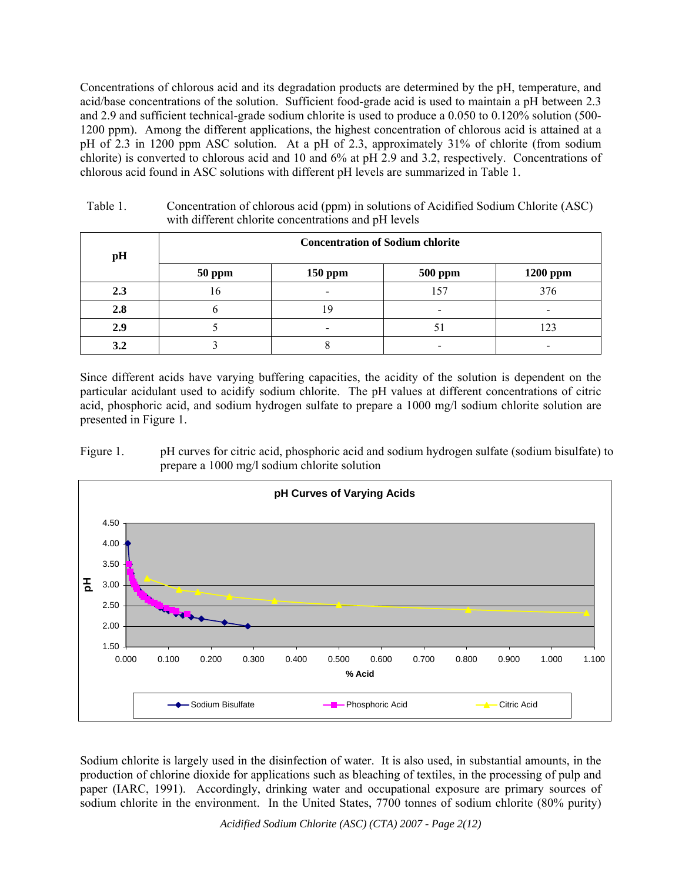Concentrations of chlorous acid and its degradation products are determined by the pH, temperature, and acid/base concentrations of the solution. Sufficient food-grade acid is used to maintain a pH between 2.3 and 2.9 and sufficient technical-grade sodium chlorite is used to produce a 0.050 to 0.120% solution (500- 1200 ppm). Among the different applications, the highest concentration of chlorous acid is attained at a pH of 2.3 in 1200 ppm ASC solution. At a pH of 2.3, approximately 31% of chlorite (from sodium chlorite) is converted to chlorous acid and 10 and 6% at pH 2.9 and 3.2, respectively. Concentrations of chlorous acid found in ASC solutions with different pH levels are summarized in Table 1.

| pH  | <b>Concentration of Sodium chlorite</b> |                          |                |          |  |
|-----|-----------------------------------------|--------------------------|----------------|----------|--|
|     | <b>50 ppm</b>                           | <b>150 ppm</b>           | <b>500 ppm</b> | 1200 ppm |  |
| 2.3 | 16                                      | $\overline{\phantom{0}}$ | 157            | 376      |  |
| 2.8 |                                         |                          |                |          |  |
| 2.9 |                                         |                          |                | 23       |  |
| 3.2 |                                         |                          |                |          |  |

Table 1. Concentration of chlorous acid (ppm) in solutions of Acidified Sodium Chlorite (ASC) with different chlorite concentrations and pH levels

Since different acids have varying buffering capacities, the acidity of the solution is dependent on the particular acidulant used to acidify sodium chlorite. The pH values at different concentrations of citric acid, phosphoric acid, and sodium hydrogen sulfate to prepare a 1000 mg/l sodium chlorite solution are presented in Figure 1.





Sodium chlorite is largely used in the disinfection of water. It is also used, in substantial amounts, in the production of chlorine dioxide for applications such as bleaching of textiles, in the processing of pulp and paper (IARC, 1991). Accordingly, drinking water and occupational exposure are primary sources of sodium chlorite in the environment. In the United States, 7700 tonnes of sodium chlorite (80% purity)

*Acidified Sodium Chlorite (ASC) (CTA) 2007 - Page 2(12)*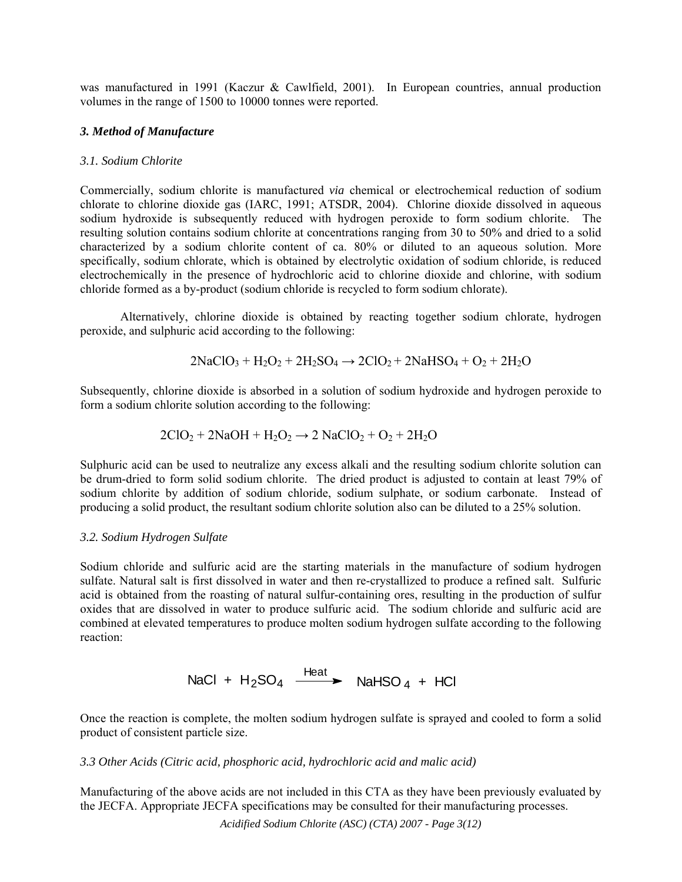was manufactured in 1991 (Kaczur & Cawlfield, 2001). In European countries, annual production volumes in the range of 1500 to 10000 tonnes were reported.

#### *3. Method of Manufacture*

#### *3.1. Sodium Chlorite*

Commercially, sodium chlorite is manufactured *via* chemical or electrochemical reduction of sodium chlorate to chlorine dioxide gas (IARC, 1991; ATSDR, 2004). Chlorine dioxide dissolved in aqueous sodium hydroxide is subsequently reduced with hydrogen peroxide to form sodium chlorite. The resulting solution contains sodium chlorite at concentrations ranging from 30 to 50% and dried to a solid characterized by a sodium chlorite content of ca. 80% or diluted to an aqueous solution. More specifically, sodium chlorate, which is obtained by electrolytic oxidation of sodium chloride, is reduced electrochemically in the presence of hydrochloric acid to chlorine dioxide and chlorine, with sodium chloride formed as a by-product (sodium chloride is recycled to form sodium chlorate).

Alternatively, chlorine dioxide is obtained by reacting together sodium chlorate, hydrogen peroxide, and sulphuric acid according to the following:

$$
2NaClO_3 + H_2O_2 + 2H_2SO_4 \rightarrow 2ClO_2 + 2NaHSO_4 + O_2 + 2H_2O
$$

Subsequently, chlorine dioxide is absorbed in a solution of sodium hydroxide and hydrogen peroxide to form a sodium chlorite solution according to the following:

$$
2ClO2 + 2NaOH + H2O2 \rightarrow 2 NaClO2 + O2 + 2H2O
$$

Sulphuric acid can be used to neutralize any excess alkali and the resulting sodium chlorite solution can be drum-dried to form solid sodium chlorite. The dried product is adjusted to contain at least 79% of sodium chlorite by addition of sodium chloride, sodium sulphate, or sodium carbonate. Instead of producing a solid product, the resultant sodium chlorite solution also can be diluted to a 25% solution.

#### *3.2. Sodium Hydrogen Sulfate*

Sodium chloride and sulfuric acid are the starting materials in the manufacture of sodium hydrogen sulfate. Natural salt is first dissolved in water and then re-crystallized to produce a refined salt. Sulfuric acid is obtained from the roasting of natural sulfur-containing ores, resulting in the production of sulfur oxides that are dissolved in water to produce sulfuric acid. The sodium chloride and sulfuric acid are combined at elevated temperatures to produce molten sodium hydrogen sulfate according to the following reaction:

NaCl +  $H_2$ SO<sub>4</sub>  $\xrightarrow{Heat}$  NaHSO<sub>4</sub> + HCl

Once the reaction is complete, the molten sodium hydrogen sulfate is sprayed and cooled to form a solid product of consistent particle size.

#### *3.3 Other Acids (Citric acid, phosphoric acid, hydrochloric acid and malic acid)*

Manufacturing of the above acids are not included in this CTA as they have been previously evaluated by the JECFA. Appropriate JECFA specifications may be consulted for their manufacturing processes.

*Acidified Sodium Chlorite (ASC) (CTA) 2007 - Page 3(12)*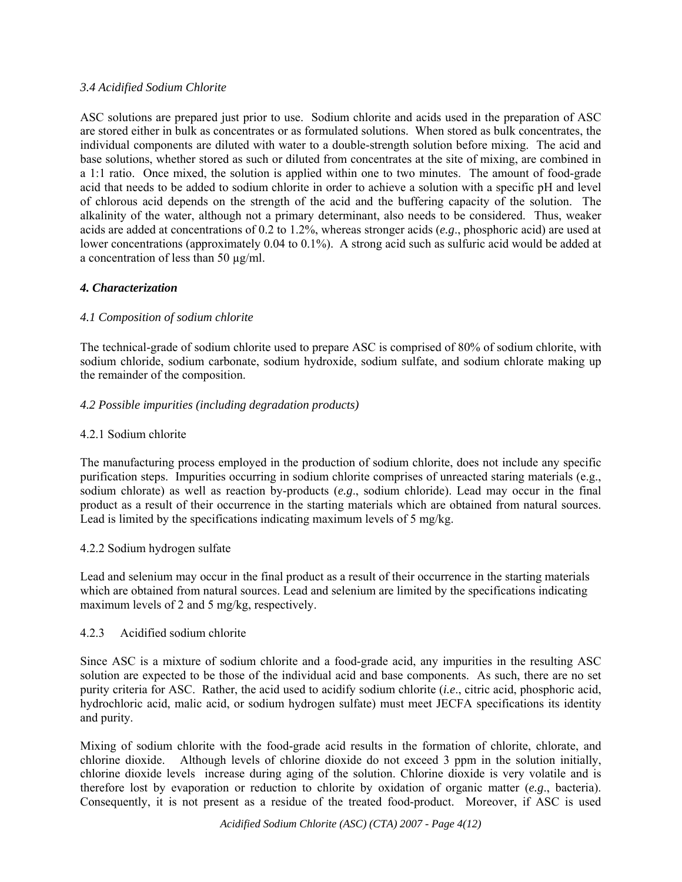## *3.4 Acidified Sodium Chlorite*

ASC solutions are prepared just prior to use. Sodium chlorite and acids used in the preparation of ASC are stored either in bulk as concentrates or as formulated solutions. When stored as bulk concentrates, the individual components are diluted with water to a double-strength solution before mixing. The acid and base solutions, whether stored as such or diluted from concentrates at the site of mixing, are combined in a 1:1 ratio. Once mixed, the solution is applied within one to two minutes. The amount of food-grade acid that needs to be added to sodium chlorite in order to achieve a solution with a specific pH and level of chlorous acid depends on the strength of the acid and the buffering capacity of the solution. The alkalinity of the water, although not a primary determinant, also needs to be considered. Thus, weaker acids are added at concentrations of 0.2 to 1.2%, whereas stronger acids (*e.g*., phosphoric acid) are used at lower concentrations (approximately 0.04 to 0.1%). A strong acid such as sulfuric acid would be added at a concentration of less than 50 µg/ml.

# *4. Characterization*

# *4.1 Composition of sodium chlorite*

The technical-grade of sodium chlorite used to prepare ASC is comprised of 80% of sodium chlorite, with sodium chloride, sodium carbonate, sodium hydroxide, sodium sulfate, and sodium chlorate making up the remainder of the composition.

## *4.2 Possible impurities (including degradation products)*

## 4.2.1 Sodium chlorite

The manufacturing process employed in the production of sodium chlorite, does not include any specific purification steps. Impurities occurring in sodium chlorite comprises of unreacted staring materials (e.g., sodium chlorate) as well as reaction by-products (*e.g*., sodium chloride). Lead may occur in the final product as a result of their occurrence in the starting materials which are obtained from natural sources. Lead is limited by the specifications indicating maximum levels of 5 mg/kg.

### 4.2.2 Sodium hydrogen sulfate

Lead and selenium may occur in the final product as a result of their occurrence in the starting materials which are obtained from natural sources. Lead and selenium are limited by the specifications indicating maximum levels of 2 and 5 mg/kg, respectively.

### 4.2.3 Acidified sodium chlorite

Since ASC is a mixture of sodium chlorite and a food-grade acid, any impurities in the resulting ASC solution are expected to be those of the individual acid and base components. As such, there are no set purity criteria for ASC. Rather, the acid used to acidify sodium chlorite (*i.e*., citric acid, phosphoric acid, hydrochloric acid, malic acid, or sodium hydrogen sulfate) must meet JECFA specifications its identity and purity.

Mixing of sodium chlorite with the food-grade acid results in the formation of chlorite, chlorate, and chlorine dioxide. Although levels of chlorine dioxide do not exceed 3 ppm in the solution initially, chlorine dioxide levels increase during aging of the solution. Chlorine dioxide is very volatile and is therefore lost by evaporation or reduction to chlorite by oxidation of organic matter (*e.g*., bacteria). Consequently, it is not present as a residue of the treated food-product. Moreover, if ASC is used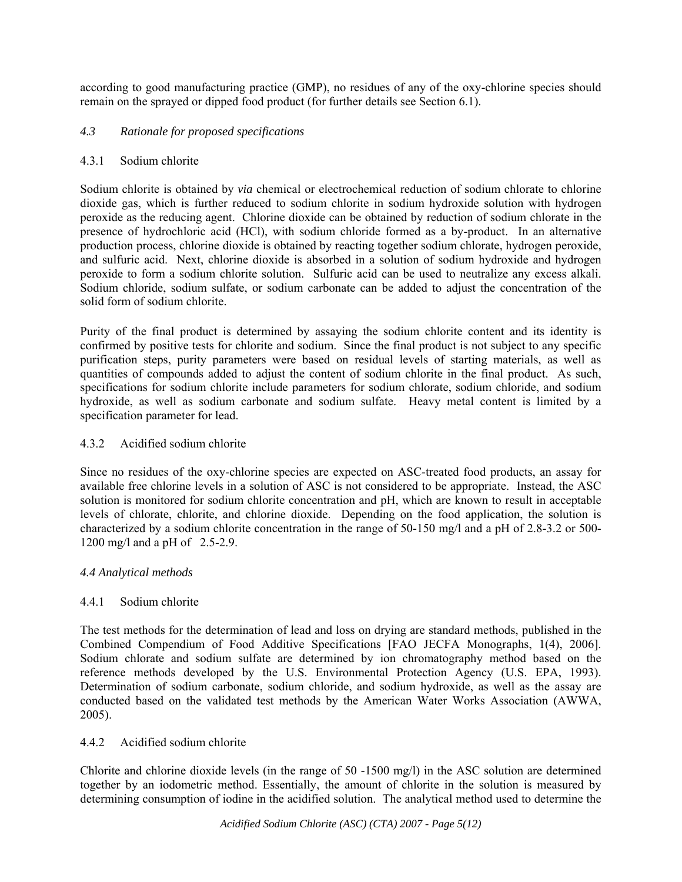according to good manufacturing practice (GMP), no residues of any of the oxy-chlorine species should remain on the sprayed or dipped food product (for further details see Section 6.1).

## *4.3 Rationale for proposed specifications*

### 4.3.1 Sodium chlorite

Sodium chlorite is obtained by *via* chemical or electrochemical reduction of sodium chlorate to chlorine dioxide gas, which is further reduced to sodium chlorite in sodium hydroxide solution with hydrogen peroxide as the reducing agent. Chlorine dioxide can be obtained by reduction of sodium chlorate in the presence of hydrochloric acid (HCl), with sodium chloride formed as a by-product. In an alternative production process, chlorine dioxide is obtained by reacting together sodium chlorate, hydrogen peroxide, and sulfuric acid. Next, chlorine dioxide is absorbed in a solution of sodium hydroxide and hydrogen peroxide to form a sodium chlorite solution. Sulfuric acid can be used to neutralize any excess alkali. Sodium chloride, sodium sulfate, or sodium carbonate can be added to adjust the concentration of the solid form of sodium chlorite.

Purity of the final product is determined by assaying the sodium chlorite content and its identity is confirmed by positive tests for chlorite and sodium. Since the final product is not subject to any specific purification steps, purity parameters were based on residual levels of starting materials, as well as quantities of compounds added to adjust the content of sodium chlorite in the final product. As such, specifications for sodium chlorite include parameters for sodium chlorate, sodium chloride, and sodium hydroxide, as well as sodium carbonate and sodium sulfate. Heavy metal content is limited by a specification parameter for lead.

## 4.3.2 Acidified sodium chlorite

Since no residues of the oxy-chlorine species are expected on ASC-treated food products, an assay for available free chlorine levels in a solution of ASC is not considered to be appropriate. Instead, the ASC solution is monitored for sodium chlorite concentration and pH, which are known to result in acceptable levels of chlorate, chlorite, and chlorine dioxide. Depending on the food application, the solution is characterized by a sodium chlorite concentration in the range of 50-150 mg/l and a pH of 2.8-3.2 or 500- 1200 mg/l and a pH of 2.5-2.9.

### *4.4 Analytical methods*

# 4.4.1 Sodium chlorite

The test methods for the determination of lead and loss on drying are standard methods, published in the Combined Compendium of Food Additive Specifications [FAO JECFA Monographs, 1(4), 2006]. Sodium chlorate and sodium sulfate are determined by ion chromatography method based on the reference methods developed by the U.S. Environmental Protection Agency (U.S. EPA, 1993). Determination of sodium carbonate, sodium chloride, and sodium hydroxide, as well as the assay are conducted based on the validated test methods by the American Water Works Association (AWWA, 2005).

# 4.4.2 Acidified sodium chlorite

Chlorite and chlorine dioxide levels (in the range of 50 -1500 mg/l) in the ASC solution are determined together by an iodometric method. Essentially, the amount of chlorite in the solution is measured by determining consumption of iodine in the acidified solution. The analytical method used to determine the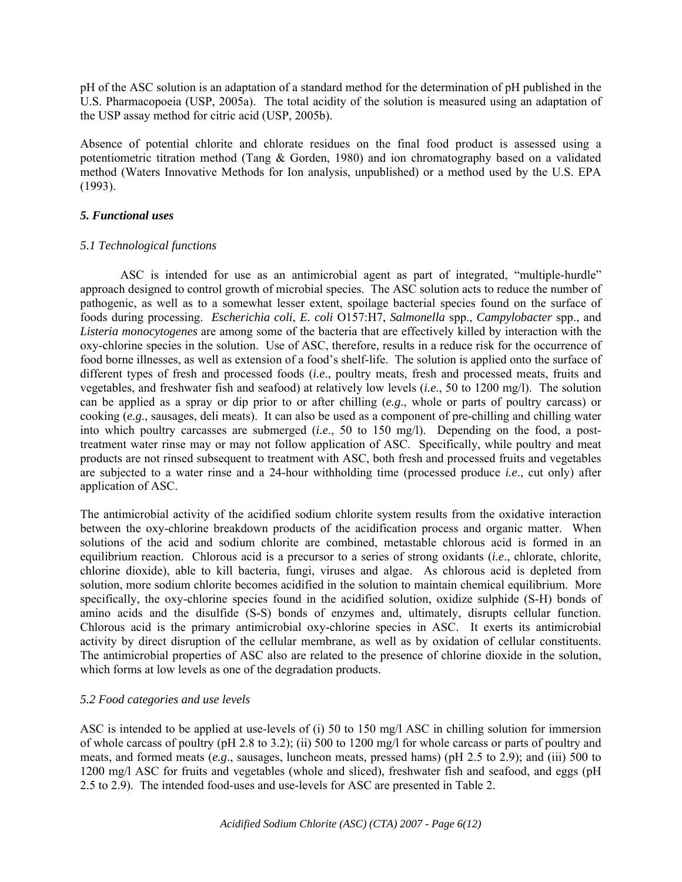pH of the ASC solution is an adaptation of a standard method for the determination of pH published in the U.S. Pharmacopoeia (USP, 2005a). The total acidity of the solution is measured using an adaptation of the USP assay method for citric acid (USP, 2005b).

Absence of potential chlorite and chlorate residues on the final food product is assessed using a potentiometric titration method (Tang & Gorden, 1980) and ion chromatography based on a validated method (Waters Innovative Methods for Ion analysis, unpublished) or a method used by the U.S. EPA (1993).

#### *5. Functional uses*

#### *5.1 Technological functions*

ASC is intended for use as an antimicrobial agent as part of integrated, "multiple-hurdle" approach designed to control growth of microbial species. The ASC solution acts to reduce the number of pathogenic, as well as to a somewhat lesser extent, spoilage bacterial species found on the surface of foods during processing. *Escherichia coli*, *E. coli* O157:H7, *Salmonella* spp., *Campylobacter* spp., and *Listeria monocytogenes* are among some of the bacteria that are effectively killed by interaction with the oxy-chlorine species in the solution. Use of ASC, therefore, results in a reduce risk for the occurrence of food borne illnesses, as well as extension of a food's shelf-life. The solution is applied onto the surface of different types of fresh and processed foods (*i.e*., poultry meats, fresh and processed meats, fruits and vegetables, and freshwater fish and seafood) at relatively low levels (*i.e*., 50 to 1200 mg/l). The solution can be applied as a spray or dip prior to or after chilling (*e.g*., whole or parts of poultry carcass) or cooking (*e.g*., sausages, deli meats). It can also be used as a component of pre-chilling and chilling water into which poultry carcasses are submerged (*i.e*., 50 to 150 mg/l). Depending on the food, a posttreatment water rinse may or may not follow application of ASC. Specifically, while poultry and meat products are not rinsed subsequent to treatment with ASC, both fresh and processed fruits and vegetables are subjected to a water rinse and a 24-hour withholding time (processed produce *i.e*., cut only) after application of ASC.

The antimicrobial activity of the acidified sodium chlorite system results from the oxidative interaction between the oxy-chlorine breakdown products of the acidification process and organic matter. When solutions of the acid and sodium chlorite are combined, metastable chlorous acid is formed in an equilibrium reaction. Chlorous acid is a precursor to a series of strong oxidants (*i.e*., chlorate, chlorite, chlorine dioxide), able to kill bacteria, fungi, viruses and algae. As chlorous acid is depleted from solution, more sodium chlorite becomes acidified in the solution to maintain chemical equilibrium. More specifically, the oxy-chlorine species found in the acidified solution, oxidize sulphide (S-H) bonds of amino acids and the disulfide (S-S) bonds of enzymes and, ultimately, disrupts cellular function. Chlorous acid is the primary antimicrobial oxy-chlorine species in ASC. It exerts its antimicrobial activity by direct disruption of the cellular membrane, as well as by oxidation of cellular constituents. The antimicrobial properties of ASC also are related to the presence of chlorine dioxide in the solution, which forms at low levels as one of the degradation products.

### *5.2 Food categories and use levels*

ASC is intended to be applied at use-levels of (i) 50 to 150 mg/l ASC in chilling solution for immersion of whole carcass of poultry (pH 2.8 to 3.2); (ii) 500 to 1200 mg/l for whole carcass or parts of poultry and meats, and formed meats (*e.g*., sausages, luncheon meats, pressed hams) (pH 2.5 to 2.9); and (iii) 500 to 1200 mg/l ASC for fruits and vegetables (whole and sliced), freshwater fish and seafood, and eggs (pH 2.5 to 2.9). The intended food-uses and use-levels for ASC are presented in Table 2.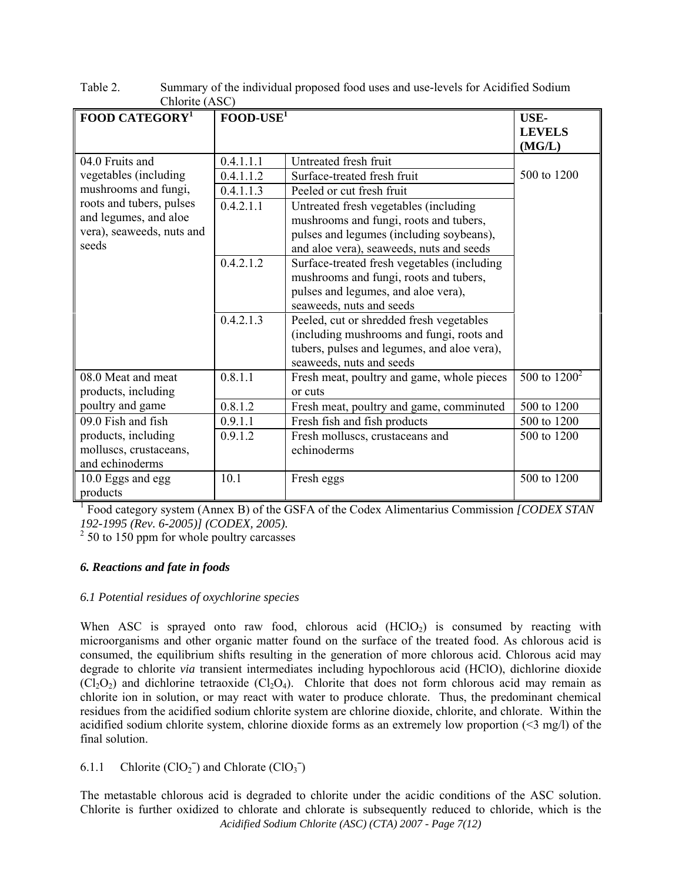| FOOD CATEGORY <sup>1</sup> | $\frac{1}{2}$                              |                                             |                 |  |  |  |  |
|----------------------------|--------------------------------------------|---------------------------------------------|-----------------|--|--|--|--|
|                            | $FOOD-USE1$                                |                                             | <b>USE-</b>     |  |  |  |  |
|                            |                                            |                                             | <b>LEVELS</b>   |  |  |  |  |
|                            |                                            |                                             | (MG/L)          |  |  |  |  |
| 04.0 Fruits and            | 0.4.1.1.1                                  | Untreated fresh fruit                       |                 |  |  |  |  |
| vegetables (including      | 0.4.1.1.2                                  | Surface-treated fresh fruit                 | 500 to 1200     |  |  |  |  |
| mushrooms and fungi,       | 0.4.1.1.3                                  | Peeled or cut fresh fruit                   |                 |  |  |  |  |
| roots and tubers, pulses   | 0.4.2.1.1                                  | Untreated fresh vegetables (including       |                 |  |  |  |  |
| and legumes, and aloe      |                                            | mushrooms and fungi, roots and tubers,      |                 |  |  |  |  |
| vera), seaweeds, nuts and  |                                            | pulses and legumes (including soybeans),    |                 |  |  |  |  |
| seeds                      |                                            | and aloe vera), seaweeds, nuts and seeds    |                 |  |  |  |  |
|                            | 0.4.2.1.2                                  | Surface-treated fresh vegetables (including |                 |  |  |  |  |
|                            |                                            | mushrooms and fungi, roots and tubers,      |                 |  |  |  |  |
|                            |                                            | pulses and legumes, and aloe vera),         |                 |  |  |  |  |
|                            |                                            | seaweeds, nuts and seeds                    |                 |  |  |  |  |
|                            | 0.4.2.1.3                                  | Peeled, cut or shredded fresh vegetables    |                 |  |  |  |  |
|                            |                                            | (including mushrooms and fungi, roots and   |                 |  |  |  |  |
|                            |                                            | tubers, pulses and legumes, and aloe vera), |                 |  |  |  |  |
|                            |                                            | seaweeds, nuts and seeds                    |                 |  |  |  |  |
| 08.0 Meat and meat         | 0.8.1.1                                    | Fresh meat, poultry and game, whole pieces  | 500 to $1200^2$ |  |  |  |  |
| products, including        |                                            | or cuts                                     |                 |  |  |  |  |
| poultry and game           | 0.8.1.2                                    | Fresh meat, poultry and game, comminuted    | 500 to 1200     |  |  |  |  |
| 09.0 Fish and fish         | 0.9.1.1                                    | Fresh fish and fish products                | 500 to 1200     |  |  |  |  |
| products, including        | 0.9.1.2<br>Fresh molluscs, crustaceans and |                                             | 500 to 1200     |  |  |  |  |
| molluscs, crustaceans,     |                                            | echinoderms                                 |                 |  |  |  |  |
| and echinoderms            |                                            |                                             |                 |  |  |  |  |
| 10.0 Eggs and egg          | 10.1                                       | Fresh eggs                                  | 500 to 1200     |  |  |  |  |
| products                   |                                            |                                             |                 |  |  |  |  |

Table 2. Summary of the individual proposed food uses and use-levels for Acidified Sodium Chlorite (ASC)

<sup>1</sup> Food category system (Annex B) of the GSFA of the Codex Alimentarius Commission *[CODEX STAN 192-1995 (Rev. 6-2005)] (CODEX, 2005).*

 $2^{2}$  50 to 150 ppm for whole poultry carcasses

# *6. Reactions and fate in foods*

### *6.1 Potential residues of oxychlorine species*

When ASC is sprayed onto raw food, chlorous acid  $(HClO<sub>2</sub>)$  is consumed by reacting with microorganisms and other organic matter found on the surface of the treated food. As chlorous acid is consumed, the equilibrium shifts resulting in the generation of more chlorous acid. Chlorous acid may degrade to chlorite *via* transient intermediates including hypochlorous acid (HClO), dichlorine dioxide  $(Cl_2O_2)$  and dichlorine tetraoxide  $(Cl_2O_4)$ . Chlorite that does not form chlorous acid may remain as chlorite ion in solution, or may react with water to produce chlorate. Thus, the predominant chemical residues from the acidified sodium chlorite system are chlorine dioxide, chlorite, and chlorate. Within the acidified sodium chlorite system, chlorine dioxide forms as an extremely low proportion (<3 mg/l) of the final solution.

6.1.1 Chlorite  $(ClO<sub>2</sub><sup>-</sup>)$  and Chlorate  $(ClO<sub>3</sub><sup>-</sup>)$ 

*Acidified Sodium Chlorite (ASC) (CTA) 2007 - Page 7(12)*  The metastable chlorous acid is degraded to chlorite under the acidic conditions of the ASC solution. Chlorite is further oxidized to chlorate and chlorate is subsequently reduced to chloride, which is the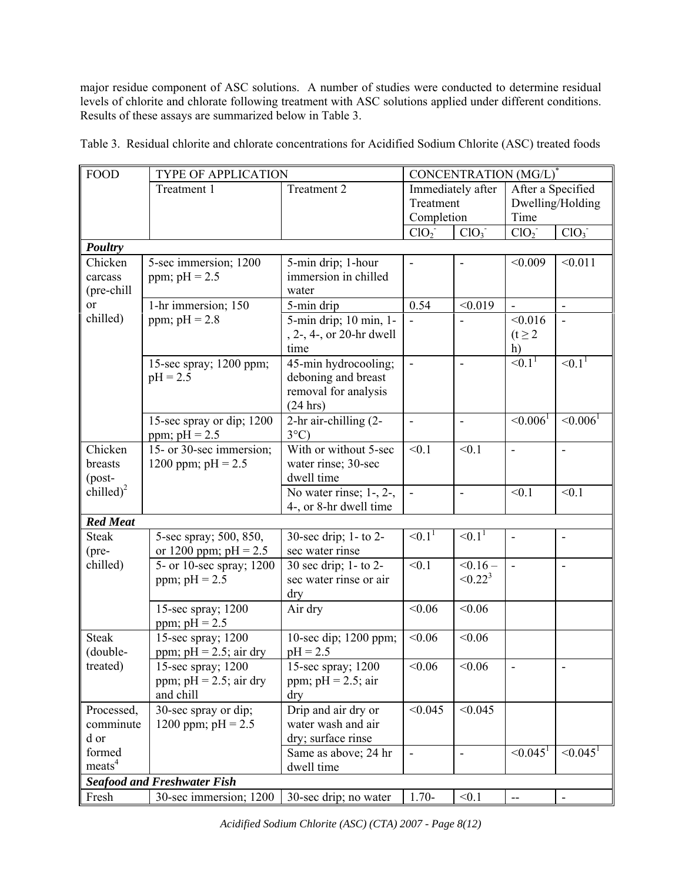major residue component of ASC solutions. A number of studies were conducted to determine residual levels of chlorite and chlorate following treatment with ASC solutions applied under different conditions. Results of these assays are summarized below in Table 3.

Table 3. Residual chlorite and chlorate concentrations for Acidified Sodium Chlorite (ASC) treated foods

| <b>FOOD</b>                                                   | <b>TYPE OF APPLICATION</b>                                   |                                                                                 | CONCENTRATION (MG/L)                         |                             |                                               |                  |
|---------------------------------------------------------------|--------------------------------------------------------------|---------------------------------------------------------------------------------|----------------------------------------------|-----------------------------|-----------------------------------------------|------------------|
|                                                               | Treatment 1                                                  | Treatment 2                                                                     | Immediately after<br>Treatment<br>Completion |                             | After a Specified<br>Dwelling/Holding<br>Time |                  |
|                                                               |                                                              |                                                                                 | ClO <sub>2</sub>                             | ClO <sub>3</sub>            | ClO <sub>2</sub>                              | ClO <sub>3</sub> |
| Poultry                                                       |                                                              |                                                                                 |                                              |                             |                                               |                  |
| Chicken<br>carcass<br>(pre-chill<br><sub>or</sub><br>chilled) | 5-sec immersion; 1200<br>ppm; $pH = 2.5$                     | 5-min drip; 1-hour<br>immersion in chilled<br>water                             | $\blacksquare$                               | $\blacksquare$              | < 0.009                                       | < 0.011          |
|                                                               | 1-hr immersion; 150<br>ppm; $pH = 2.8$                       | 5-min drip                                                                      | 0.54                                         | < 0.019                     | $\blacksquare$                                | $\blacksquare$   |
|                                                               |                                                              | 5-min drip; 10 min, 1-<br>, 2-, 4-, or 20-hr dwell<br>time                      |                                              |                             | < 0.016<br>$(t \geq 2)$<br>h)                 |                  |
|                                                               | 15-sec spray; 1200 ppm;<br>$pH = 2.5$                        | 45-min hydrocooling;<br>deboning and breast<br>removal for analysis<br>(24 hrs) | ä,                                           | $\overline{\phantom{a}}$    | $\leq 0.1^1$                                  | $\leq 0.1^1$     |
|                                                               | 15-sec spray or dip; 1200<br>ppm; $pH = 2.5$                 | 2-hr air-chilling (2-<br>$3^{\circ}$ C)                                         | $\blacksquare$                               | ÷,                          | $\leq 0.006^1$                                | $\leq 0.006^1$   |
| Chicken<br>breasts<br>$(post-$                                | 15- or 30-sec immersion;<br>1200 ppm; $pH = 2.5$             | With or without 5-sec<br>water rinse; 30-sec<br>dwell time                      | < 0.1                                        | < 0.1                       | ÷,                                            | $\blacksquare$   |
| chilled) <sup>2</sup>                                         |                                                              | No water rinse; $1-$ , $2-$ ,<br>4-, or 8-hr dwell time                         | $\frac{1}{2}$                                | $\blacksquare$              | < 0.1                                         | < 0.1            |
| <b>Red Meat</b>                                               |                                                              |                                                                                 |                                              |                             |                                               |                  |
| <b>Steak</b><br>(pre-                                         | 5-sec spray; 500, 850,<br>or 1200 ppm; $pH = 2.5$            | 30-sec drip; 1- to 2-<br>sec water rinse                                        | $\leq 0.1^1$                                 | $\sqrt{0.1}$                | $\overline{\phantom{0}}$                      |                  |
| chilled)                                                      | 5- or 10-sec spray; 1200<br>ppm; $pH = 2.5$                  | 30 sec drip; 1- to 2-<br>sec water rinse or air<br>dry                          | < 0.1                                        | $< 0.16 -$<br>$\leq 0.22^3$ | $\blacksquare$                                | $\blacksquare$   |
|                                                               | 15-sec spray; 1200<br>ppm; $pH = 2.5$                        | Air dry                                                                         | < 0.06                                       | < 0.06                      |                                               |                  |
| <b>Steak</b><br>(double-                                      | 15-sec spray; 1200<br>ppm; $pH = 2.5$ ; air dry              | 10-sec dip; 1200 ppm;<br>$pH = 2.5$                                             | < 0.06                                       | < 0.06                      |                                               |                  |
| treated)                                                      | 15-sec spray; 1200<br>ppm; $pH = 2.5$ ; air dry<br>and chill | 15-sec spray; 1200<br>ppm; $pH = 2.5$ ; air<br>dry                              | < 0.06                                       | < 0.06                      | $\overline{\phantom{0}}$                      |                  |
| Processed,<br>comminute<br>d or                               | 30-sec spray or dip;<br>1200 ppm; $pH = 2.5$                 | Drip and air dry or<br>water wash and air<br>dry; surface rinse                 | < 0.045                                      | < 0.045                     |                                               |                  |
| formed<br>meats <sup>4</sup>                                  |                                                              | Same as above; 24 hr<br>dwell time                                              | $\qquad \qquad \blacksquare$                 | ÷,                          | $\leq 0.045^1$                                | $\leq 0.045^1$   |
| <b>Seafood and Freshwater Fish</b>                            |                                                              |                                                                                 |                                              |                             |                                               |                  |
| Fresh                                                         | 30-sec immersion; 1200                                       | 30-sec drip; no water                                                           | $1.70-$                                      | < 0.1                       | --                                            |                  |

*Acidified Sodium Chlorite (ASC) (CTA) 2007 - Page 8(12)*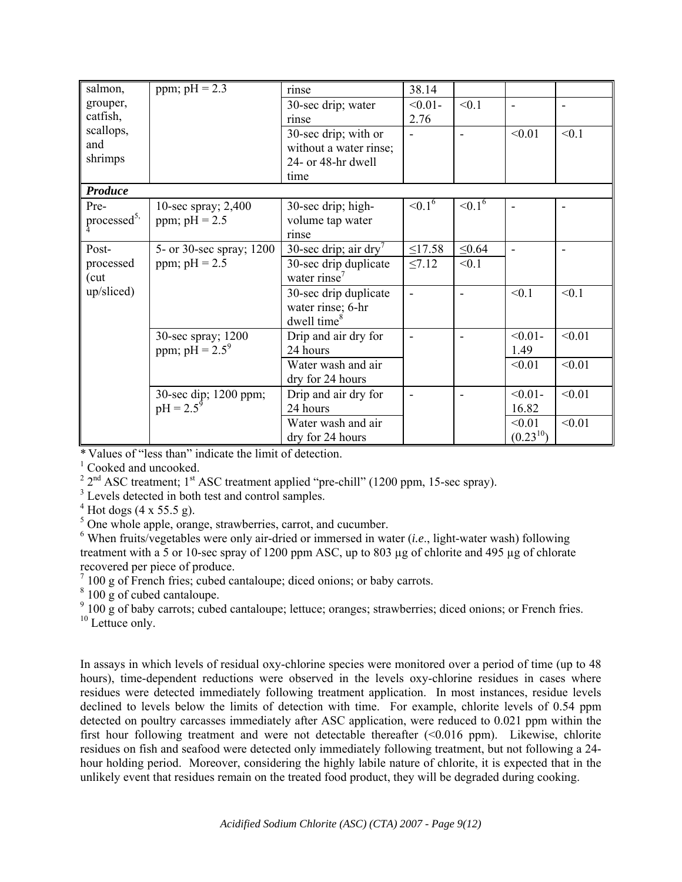| salmon,                 | ppm; $pH = 2.3$          | rinse                    | 38.14                    |                |                              |        |
|-------------------------|--------------------------|--------------------------|--------------------------|----------------|------------------------------|--------|
| grouper,                |                          | 30-sec drip; water       | $< 0.01 -$               | < 0.1          | $\overline{\phantom{a}}$     |        |
| catfish,                |                          | rinse                    | 2.76                     |                |                              |        |
| scallops,               |                          | 30-sec drip; with or     | $\blacksquare$           | $\blacksquare$ | < 0.01                       | < 0.1  |
| and                     |                          | without a water rinse;   |                          |                |                              |        |
| shrimps                 |                          | 24- or 48-hr dwell       |                          |                |                              |        |
|                         |                          | time                     |                          |                |                              |        |
| Produce                 |                          |                          |                          |                |                              |        |
| Pre-                    | 10-sec spray; 2,400      | 30-sec drip; high-       | ${<}0.1^6$               | ${<}0.1^6$     | $\qquad \qquad \blacksquare$ |        |
| processed <sup>5,</sup> | ppm; $pH = 2.5$          | volume tap water         |                          |                |                              |        |
|                         |                          | rinse                    |                          |                |                              |        |
| Post-                   | 5- or 30-sec spray; 1200 | 30-sec drip; air dry'    | $\leq$ 17.58             | $\leq 0.64$    | ٠                            |        |
| processed               | ppm; $pH = 2.5$          | 30-sec drip duplicate    | $\leq 7.12$              | < 0.1          |                              |        |
| (cut)                   |                          | water rinse <sup>7</sup> |                          |                |                              |        |
| up/sliced)              |                          | 30-sec drip duplicate    | $\blacksquare$           |                | < 0.1                        | < 0.1  |
|                         |                          | water rinse; 6-hr        |                          |                |                              |        |
|                         |                          | dwell time <sup>8</sup>  |                          |                |                              |        |
|                         | 30-sec spray; 1200       | Drip and air dry for     | $\overline{\phantom{a}}$ | $\blacksquare$ | $< 0.01 -$                   | < 0.01 |
|                         | ppm; $pH = 2.5^9$        | 24 hours                 |                          |                | 1.49                         |        |
|                         |                          | Water wash and air       |                          |                | < 0.01                       | < 0.01 |
|                         |                          | dry for 24 hours         |                          |                |                              |        |
|                         | 30-sec dip; 1200 ppm;    | Drip and air dry for     | $\overline{\phantom{a}}$ | $\blacksquare$ | $< 0.01 -$                   | < 0.01 |
|                         | $pH = 2.5^9$             | 24 hours                 |                          |                | 16.82                        |        |
|                         |                          | Water wash and air       |                          |                | < 0.01                       | < 0.01 |
|                         |                          | dry for 24 hours         |                          |                | $(0.23^{10})$                |        |

\* Values of "less than" indicate the limit of detection.

<sup>1</sup> Cooked and uncooked.

 $2^{2}$  2<sup>nd</sup> ASC treatment; 1<sup>st</sup> ASC treatment applied "pre-chill" (1200 ppm, 15-sec spray).

<sup>3</sup> Levels detected in both test and control samples.

 $4^4$  Hot dogs (4 x 55.5 g).

<sup>5</sup> One whole apple, orange, strawberries, carrot, and cucumber.

 $6$  When fruits/vegetables were only air-dried or immersed in water (*i.e.*, light-water wash) following treatment with a 5 or 10-sec spray of 1200 ppm ASC, up to 803 µg of chlorite and 495 µg of chlorate recovered per piece of produce.

 $7100$  g of French fries; cubed cantaloupe; diced onions; or baby carrots.

<sup>8</sup> 100 g of cubed cantaloupe.

<sup>9</sup> 100 g of baby carrots; cubed cantaloupe; lettuce; oranges; strawberries; diced onions; or French fries.

 $10$  Lettuce only.

In assays in which levels of residual oxy-chlorine species were monitored over a period of time (up to 48 hours), time-dependent reductions were observed in the levels oxy-chlorine residues in cases where residues were detected immediately following treatment application. In most instances, residue levels declined to levels below the limits of detection with time. For example, chlorite levels of 0.54 ppm detected on poultry carcasses immediately after ASC application, were reduced to 0.021 ppm within the first hour following treatment and were not detectable thereafter (<0.016 ppm). Likewise, chlorite residues on fish and seafood were detected only immediately following treatment, but not following a 24 hour holding period. Moreover, considering the highly labile nature of chlorite, it is expected that in the unlikely event that residues remain on the treated food product, they will be degraded during cooking.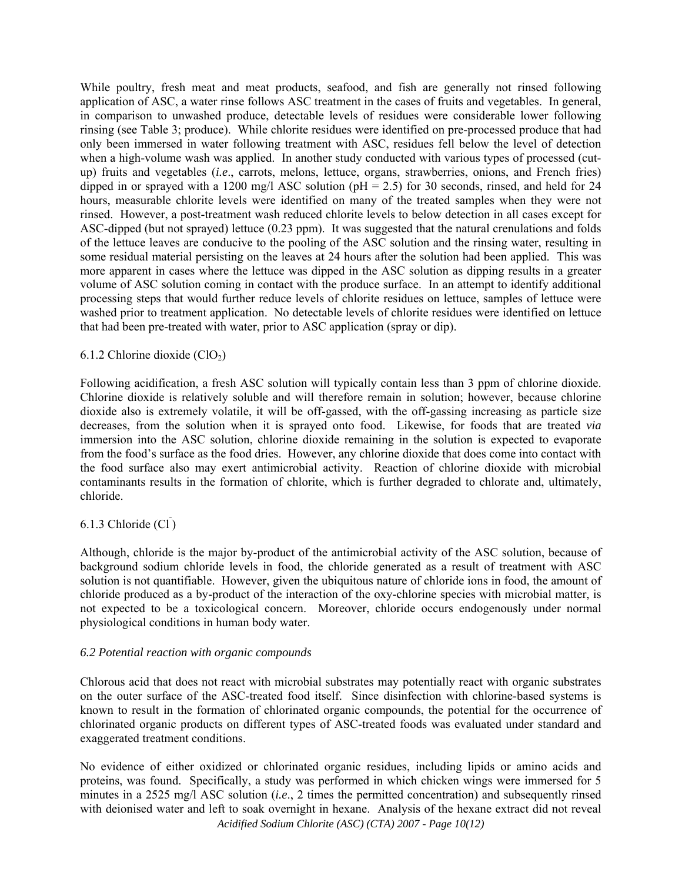While poultry, fresh meat and meat products, seafood, and fish are generally not rinsed following application of ASC, a water rinse follows ASC treatment in the cases of fruits and vegetables. In general, in comparison to unwashed produce, detectable levels of residues were considerable lower following rinsing (see Table 3; produce). While chlorite residues were identified on pre-processed produce that had only been immersed in water following treatment with ASC, residues fell below the level of detection when a high-volume wash was applied. In another study conducted with various types of processed (cutup) fruits and vegetables (*i.e*., carrots, melons, lettuce, organs, strawberries, onions, and French fries) dipped in or sprayed with a 1200 mg/l ASC solution ( $pH = 2.5$ ) for 30 seconds, rinsed, and held for 24 hours, measurable chlorite levels were identified on many of the treated samples when they were not rinsed. However, a post-treatment wash reduced chlorite levels to below detection in all cases except for ASC-dipped (but not sprayed) lettuce (0.23 ppm). It was suggested that the natural crenulations and folds of the lettuce leaves are conducive to the pooling of the ASC solution and the rinsing water, resulting in some residual material persisting on the leaves at 24 hours after the solution had been applied. This was more apparent in cases where the lettuce was dipped in the ASC solution as dipping results in a greater volume of ASC solution coming in contact with the produce surface. In an attempt to identify additional processing steps that would further reduce levels of chlorite residues on lettuce, samples of lettuce were washed prior to treatment application. No detectable levels of chlorite residues were identified on lettuce that had been pre-treated with water, prior to ASC application (spray or dip).

## 6.1.2 Chlorine dioxide  $(ClO<sub>2</sub>)$

Following acidification, a fresh ASC solution will typically contain less than 3 ppm of chlorine dioxide. Chlorine dioxide is relatively soluble and will therefore remain in solution; however, because chlorine dioxide also is extremely volatile, it will be off-gassed, with the off-gassing increasing as particle size decreases, from the solution when it is sprayed onto food. Likewise, for foods that are treated *via* immersion into the ASC solution, chlorine dioxide remaining in the solution is expected to evaporate from the food's surface as the food dries. However, any chlorine dioxide that does come into contact with the food surface also may exert antimicrobial activity. Reaction of chlorine dioxide with microbial contaminants results in the formation of chlorite, which is further degraded to chlorate and, ultimately, chloride.

# 6.1.3 Chloride  $\overline{\text{Cl}}$ )

Although, chloride is the major by-product of the antimicrobial activity of the ASC solution, because of background sodium chloride levels in food, the chloride generated as a result of treatment with ASC solution is not quantifiable. However, given the ubiquitous nature of chloride ions in food, the amount of chloride produced as a by-product of the interaction of the oxy-chlorine species with microbial matter, is not expected to be a toxicological concern. Moreover, chloride occurs endogenously under normal physiological conditions in human body water.

### *6.2 Potential reaction with organic compounds*

Chlorous acid that does not react with microbial substrates may potentially react with organic substrates on the outer surface of the ASC-treated food itself. Since disinfection with chlorine-based systems is known to result in the formation of chlorinated organic compounds, the potential for the occurrence of chlorinated organic products on different types of ASC-treated foods was evaluated under standard and exaggerated treatment conditions.

*Acidified Sodium Chlorite (ASC) (CTA) 2007 - Page 10(12)*  No evidence of either oxidized or chlorinated organic residues, including lipids or amino acids and proteins, was found. Specifically, a study was performed in which chicken wings were immersed for 5 minutes in a 2525 mg/l ASC solution (*i.e*., 2 times the permitted concentration) and subsequently rinsed with deionised water and left to soak overnight in hexane. Analysis of the hexane extract did not reveal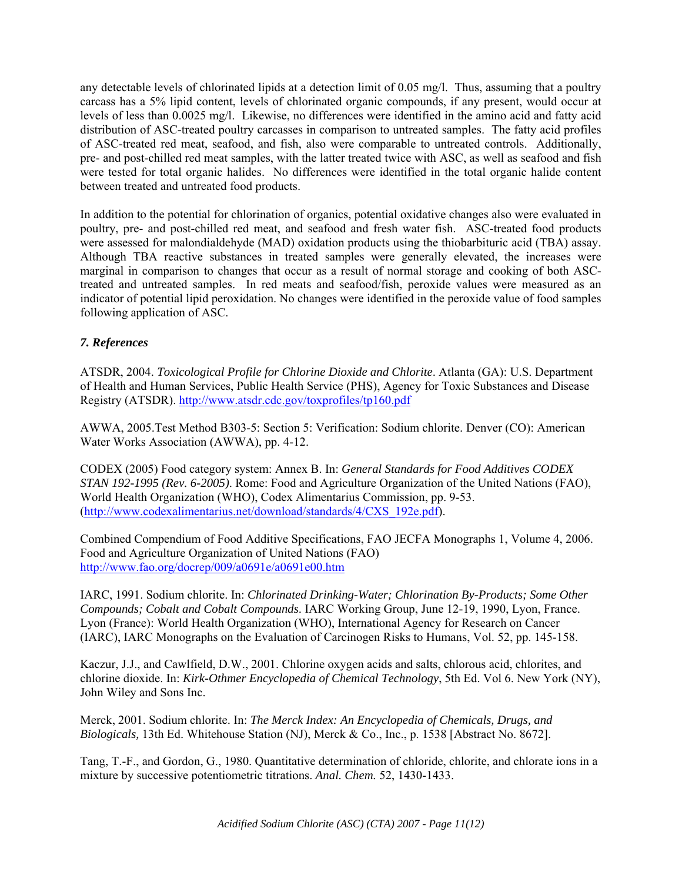any detectable levels of chlorinated lipids at a detection limit of 0.05 mg/l. Thus, assuming that a poultry carcass has a 5% lipid content, levels of chlorinated organic compounds, if any present, would occur at levels of less than 0.0025 mg/l. Likewise, no differences were identified in the amino acid and fatty acid distribution of ASC-treated poultry carcasses in comparison to untreated samples. The fatty acid profiles of ASC-treated red meat, seafood, and fish, also were comparable to untreated controls. Additionally, pre- and post-chilled red meat samples, with the latter treated twice with ASC, as well as seafood and fish were tested for total organic halides. No differences were identified in the total organic halide content between treated and untreated food products.

In addition to the potential for chlorination of organics, potential oxidative changes also were evaluated in poultry, pre- and post-chilled red meat, and seafood and fresh water fish. ASC-treated food products were assessed for malondialdehyde (MAD) oxidation products using the thiobarbituric acid (TBA) assay. Although TBA reactive substances in treated samples were generally elevated, the increases were marginal in comparison to changes that occur as a result of normal storage and cooking of both ASCtreated and untreated samples. In red meats and seafood/fish, peroxide values were measured as an indicator of potential lipid peroxidation. No changes were identified in the peroxide value of food samples following application of ASC.

# *7. References*

ATSDR, 2004. *Toxicological Profile for Chlorine Dioxide and Chlorite*. Atlanta (GA): U.S. Department of Health and Human Services, Public Health Service (PHS), Agency for Toxic Substances and Disease Registry (ATSDR). http://www.atsdr.cdc.gov/toxprofiles/tp160.pdf

AWWA, 2005.Test Method B303-5: Section 5: Verification: Sodium chlorite. Denver (CO): American Water Works Association (AWWA), pp. 4-12.

CODEX (2005) Food category system: Annex B. In: *General Standards for Food Additives CODEX STAN 192-1995 (Rev. 6-2005)*. Rome: Food and Agriculture Organization of the United Nations (FAO), World Health Organization (WHO), Codex Alimentarius Commission, pp. 9-53. (http://www.codexalimentarius.net/download/standards/4/CXS\_192e.pdf).

Combined Compendium of Food Additive Specifications, FAO JECFA Monographs 1, Volume 4, 2006. Food and Agriculture Organization of United Nations (FAO) http://www.fao.org/docrep/009/a0691e/a0691e00.htm

IARC, 1991. Sodium chlorite. In: *Chlorinated Drinking-Water; Chlorination By-Products; Some Other Compounds; Cobalt and Cobalt Compounds*. IARC Working Group, June 12-19, 1990, Lyon, France. Lyon (France): World Health Organization (WHO), International Agency for Research on Cancer (IARC), IARC Monographs on the Evaluation of Carcinogen Risks to Humans, Vol. 52, pp. 145-158.

Kaczur, J.J., and Cawlfield, D.W., 2001. Chlorine oxygen acids and salts, chlorous acid, chlorites, and chlorine dioxide. In: *Kirk-Othmer Encyclopedia of Chemical Technology*, 5th Ed. Vol 6. New York (NY), John Wiley and Sons Inc.

Merck, 2001. Sodium chlorite. In: *The Merck Index: An Encyclopedia of Chemicals, Drugs, and Biologicals,* 13th Ed. Whitehouse Station (NJ), Merck & Co., Inc., p. 1538 [Abstract No. 8672].

Tang, T.-F., and Gordon, G., 1980. Quantitative determination of chloride, chlorite, and chlorate ions in a mixture by successive potentiometric titrations. *Anal. Chem.* 52, 1430-1433.